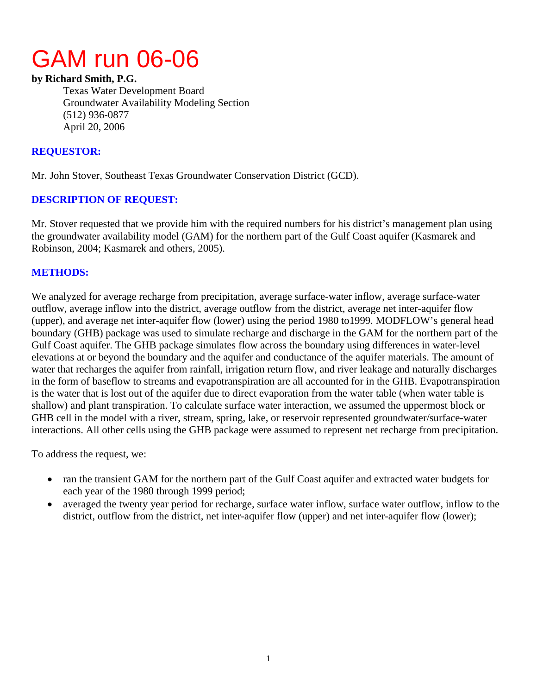# GAM run 06-06

#### **by Richard Smith, P.G.**

Texas Water Development Board Groundwater Availability Modeling Section (512) 936-0877 April 20, 2006

### **REQUESTOR:**

Mr. John Stover, Southeast Texas Groundwater Conservation District (GCD).

# **DESCRIPTION OF REQUEST:**

Mr. Stover requested that we provide him with the required numbers for his district's management plan using the groundwater availability model (GAM) for the northern part of the Gulf Coast aquifer (Kasmarek and Robinson, 2004; Kasmarek and others, 2005).

## **METHODS:**

We analyzed for average recharge from precipitation, average surface-water inflow, average surface-water outflow, average inflow into the district, average outflow from the district, average net inter-aquifer flow (upper), and average net inter-aquifer flow (lower) using the period 1980 to1999. MODFLOW's general head boundary (GHB) package was used to simulate recharge and discharge in the GAM for the northern part of the Gulf Coast aquifer. The GHB package simulates flow across the boundary using differences in water-level elevations at or beyond the boundary and the aquifer and conductance of the aquifer materials. The amount of water that recharges the aquifer from rainfall, irrigation return flow, and river leakage and naturally discharges in the form of baseflow to streams and evapotranspiration are all accounted for in the GHB. Evapotranspiration is the water that is lost out of the aquifer due to direct evaporation from the water table (when water table is shallow) and plant transpiration. To calculate surface water interaction, we assumed the uppermost block or GHB cell in the model with a river, stream, spring, lake, or reservoir represented groundwater/surface-water interactions. All other cells using the GHB package were assumed to represent net recharge from precipitation.

To address the request, we:

- ran the transient GAM for the northern part of the Gulf Coast aquifer and extracted water budgets for each year of the 1980 through 1999 period;
- averaged the twenty year period for recharge, surface water inflow, surface water outflow, inflow to the district, outflow from the district, net inter-aquifer flow (upper) and net inter-aquifer flow (lower);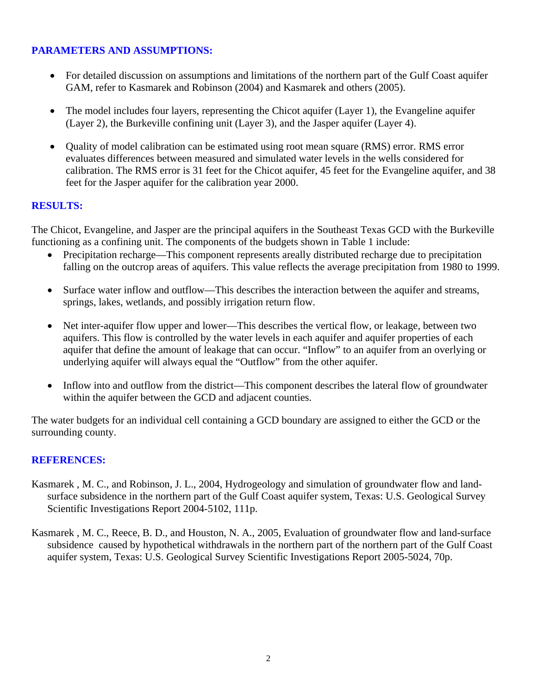# **PARAMETERS AND ASSUMPTIONS:**

- For detailed discussion on assumptions and limitations of the northern part of the Gulf Coast aquifer GAM, refer to Kasmarek and Robinson (2004) and Kasmarek and others (2005).
- The model includes four layers, representing the Chicot aquifer (Layer 1), the Evangeline aquifer (Layer 2), the Burkeville confining unit (Layer 3), and the Jasper aquifer (Layer 4).
- Quality of model calibration can be estimated using root mean square (RMS) error. RMS error evaluates differences between measured and simulated water levels in the wells considered for calibration. The RMS error is 31 feet for the Chicot aquifer, 45 feet for the Evangeline aquifer, and 38 feet for the Jasper aquifer for the calibration year 2000.

#### **RESULTS:**

The Chicot, Evangeline, and Jasper are the principal aquifers in the Southeast Texas GCD with the Burkeville functioning as a confining unit. The components of the budgets shown in Table 1 include:

- Precipitation recharge—This component represents areally distributed recharge due to precipitation falling on the outcrop areas of aquifers. This value reflects the average precipitation from 1980 to 1999.
- Surface water inflow and outflow—This describes the interaction between the aquifer and streams, springs, lakes, wetlands, and possibly irrigation return flow.
- Net inter-aquifer flow upper and lower—This describes the vertical flow, or leakage, between two aquifers. This flow is controlled by the water levels in each aquifer and aquifer properties of each aquifer that define the amount of leakage that can occur. "Inflow" to an aquifer from an overlying or underlying aquifer will always equal the "Outflow" from the other aquifer.
- Inflow into and outflow from the district—This component describes the lateral flow of groundwater within the aquifer between the GCD and adjacent counties.

The water budgets for an individual cell containing a GCD boundary are assigned to either the GCD or the surrounding county.

### **REFERENCES:**

- Kasmarek , M. C., and Robinson, J. L., 2004, Hydrogeology and simulation of groundwater flow and landsurface subsidence in the northern part of the Gulf Coast aquifer system, Texas: U.S. Geological Survey Scientific Investigations Report 2004-5102, 111p.
- Kasmarek , M. C., Reece, B. D., and Houston, N. A., 2005, Evaluation of groundwater flow and land-surface subsidence caused by hypothetical withdrawals in the northern part of the northern part of the Gulf Coast aquifer system, Texas: U.S. Geological Survey Scientific Investigations Report 2005-5024, 70p.